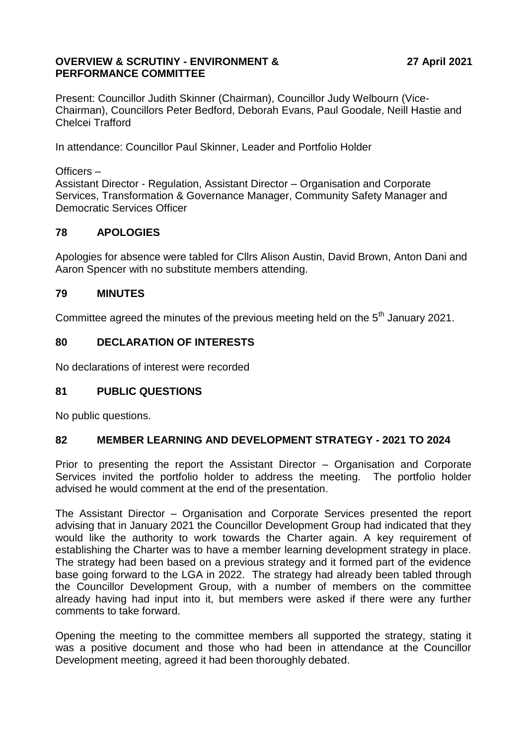### **OVERVIEW & SCRUTINY - ENVIRONMENT & PERFORMANCE COMMITTEE**

Present: Councillor Judith Skinner (Chairman), Councillor Judy Welbourn (Vice-Chairman), Councillors Peter Bedford, Deborah Evans, Paul Goodale, Neill Hastie and Chelcei Trafford

In attendance: Councillor Paul Skinner, Leader and Portfolio Holder

Officers –

Assistant Director - Regulation, Assistant Director – Organisation and Corporate Services, Transformation & Governance Manager, Community Safety Manager and Democratic Services Officer

# **78 APOLOGIES**

Apologies for absence were tabled for Cllrs Alison Austin, David Brown, Anton Dani and Aaron Spencer with no substitute members attending.

## **79 MINUTES**

Committee agreed the minutes of the previous meeting held on the  $5<sup>th</sup>$  January 2021.

## **80 DECLARATION OF INTERESTS**

No declarations of interest were recorded

### **81 PUBLIC QUESTIONS**

No public questions.

### **82 MEMBER LEARNING AND DEVELOPMENT STRATEGY - 2021 TO 2024**

Prior to presenting the report the Assistant Director – Organisation and Corporate Services invited the portfolio holder to address the meeting. The portfolio holder advised he would comment at the end of the presentation.

The Assistant Director – Organisation and Corporate Services presented the report advising that in January 2021 the Councillor Development Group had indicated that they would like the authority to work towards the Charter again. A key requirement of establishing the Charter was to have a member learning development strategy in place. The strategy had been based on a previous strategy and it formed part of the evidence base going forward to the LGA in 2022. The strategy had already been tabled through the Councillor Development Group, with a number of members on the committee already having had input into it, but members were asked if there were any further comments to take forward.

Opening the meeting to the committee members all supported the strategy, stating it was a positive document and those who had been in attendance at the Councillor Development meeting, agreed it had been thoroughly debated.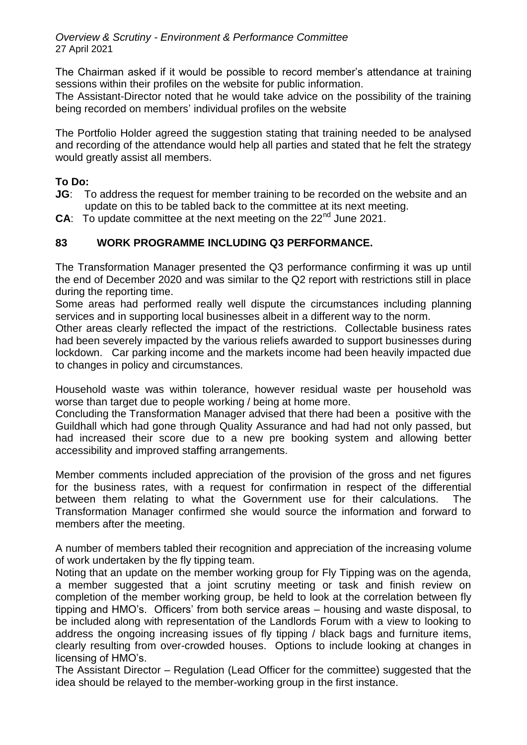*Overview & Scrutiny - Environment & Performance Committee* 27 April 2021

The Chairman asked if it would be possible to record member's attendance at training sessions within their profiles on the website for public information.

The Assistant-Director noted that he would take advice on the possibility of the training being recorded on members' individual profiles on the website

The Portfolio Holder agreed the suggestion stating that training needed to be analysed and recording of the attendance would help all parties and stated that he felt the strategy would greatly assist all members.

## **To Do:**

- **JG**: To address the request for member training to be recorded on the website and an update on this to be tabled back to the committee at its next meeting.
- **CA:** To update committee at the next meeting on the 22<sup>nd</sup> June 2021.

## **83 WORK PROGRAMME INCLUDING Q3 PERFORMANCE.**

The Transformation Manager presented the Q3 performance confirming it was up until the end of December 2020 and was similar to the Q2 report with restrictions still in place during the reporting time.

Some areas had performed really well dispute the circumstances including planning services and in supporting local businesses albeit in a different way to the norm.

Other areas clearly reflected the impact of the restrictions. Collectable business rates had been severely impacted by the various reliefs awarded to support businesses during lockdown. Car parking income and the markets income had been heavily impacted due to changes in policy and circumstances.

Household waste was within tolerance, however residual waste per household was worse than target due to people working / being at home more.

Concluding the Transformation Manager advised that there had been a positive with the Guildhall which had gone through Quality Assurance and had had not only passed, but had increased their score due to a new pre booking system and allowing better accessibility and improved staffing arrangements.

Member comments included appreciation of the provision of the gross and net figures for the business rates, with a request for confirmation in respect of the differential between them relating to what the Government use for their calculations. The Transformation Manager confirmed she would source the information and forward to members after the meeting.

A number of members tabled their recognition and appreciation of the increasing volume of work undertaken by the fly tipping team.

Noting that an update on the member working group for Fly Tipping was on the agenda, a member suggested that a joint scrutiny meeting or task and finish review on completion of the member working group, be held to look at the correlation between fly tipping and HMO's. Officers' from both service areas – housing and waste disposal, to be included along with representation of the Landlords Forum with a view to looking to address the ongoing increasing issues of fly tipping / black bags and furniture items, clearly resulting from over-crowded houses. Options to include looking at changes in licensing of HMO's.

The Assistant Director – Regulation (Lead Officer for the committee) suggested that the idea should be relayed to the member-working group in the first instance.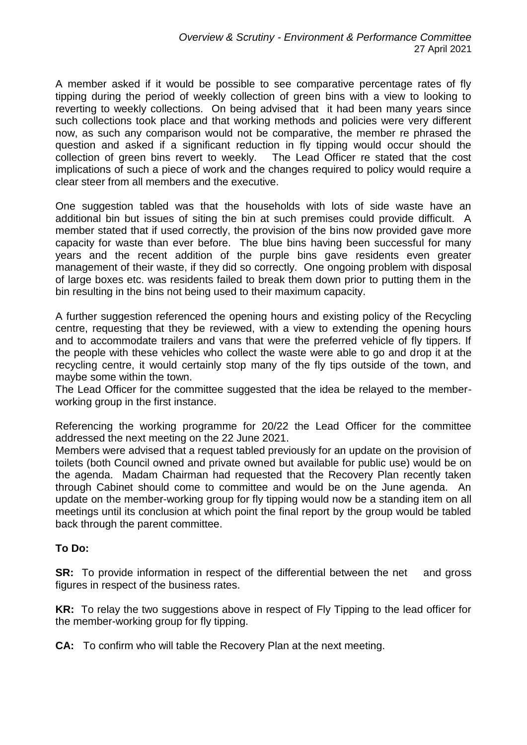A member asked if it would be possible to see comparative percentage rates of fly tipping during the period of weekly collection of green bins with a view to looking to reverting to weekly collections. On being advised that it had been many years since such collections took place and that working methods and policies were very different now, as such any comparison would not be comparative, the member re phrased the question and asked if a significant reduction in fly tipping would occur should the collection of green bins revert to weekly. The Lead Officer re stated that the cost implications of such a piece of work and the changes required to policy would require a clear steer from all members and the executive.

One suggestion tabled was that the households with lots of side waste have an additional bin but issues of siting the bin at such premises could provide difficult. A member stated that if used correctly, the provision of the bins now provided gave more capacity for waste than ever before. The blue bins having been successful for many years and the recent addition of the purple bins gave residents even greater management of their waste, if they did so correctly. One ongoing problem with disposal of large boxes etc. was residents failed to break them down prior to putting them in the bin resulting in the bins not being used to their maximum capacity.

A further suggestion referenced the opening hours and existing policy of the Recycling centre, requesting that they be reviewed, with a view to extending the opening hours and to accommodate trailers and vans that were the preferred vehicle of fly tippers. If the people with these vehicles who collect the waste were able to go and drop it at the recycling centre, it would certainly stop many of the fly tips outside of the town, and maybe some within the town.

The Lead Officer for the committee suggested that the idea be relayed to the memberworking group in the first instance.

Referencing the working programme for 20/22 the Lead Officer for the committee addressed the next meeting on the 22 June 2021.

Members were advised that a request tabled previously for an update on the provision of toilets (both Council owned and private owned but available for public use) would be on the agenda. Madam Chairman had requested that the Recovery Plan recently taken through Cabinet should come to committee and would be on the June agenda. An update on the member-working group for fly tipping would now be a standing item on all meetings until its conclusion at which point the final report by the group would be tabled back through the parent committee.

### **To Do:**

**SR:** To provide information in respect of the differential between the net and gross figures in respect of the business rates.

**KR:** To relay the two suggestions above in respect of Fly Tipping to the lead officer for the member-working group for fly tipping.

**CA:** To confirm who will table the Recovery Plan at the next meeting.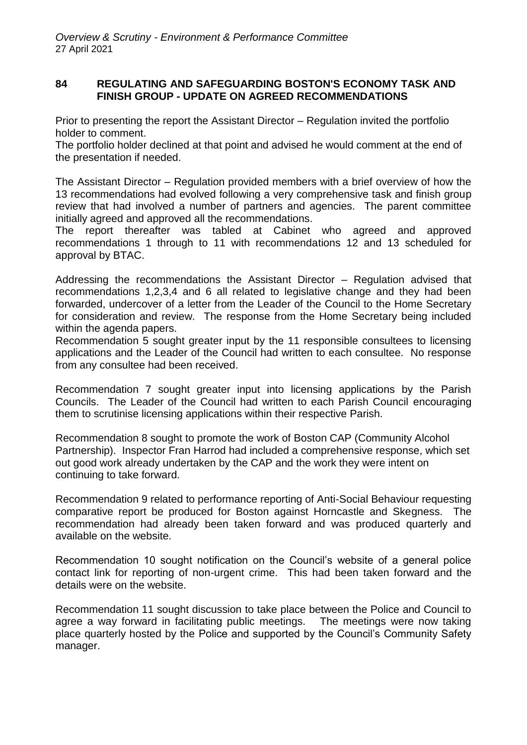### **84 REGULATING AND SAFEGUARDING BOSTON'S ECONOMY TASK AND FINISH GROUP - UPDATE ON AGREED RECOMMENDATIONS**

Prior to presenting the report the Assistant Director – Regulation invited the portfolio holder to comment.

The portfolio holder declined at that point and advised he would comment at the end of the presentation if needed.

The Assistant Director – Regulation provided members with a brief overview of how the 13 recommendations had evolved following a very comprehensive task and finish group review that had involved a number of partners and agencies. The parent committee initially agreed and approved all the recommendations.

The report thereafter was tabled at Cabinet who agreed and approved recommendations 1 through to 11 with recommendations 12 and 13 scheduled for approval by BTAC.

Addressing the recommendations the Assistant Director – Regulation advised that recommendations 1,2,3,4 and 6 all related to legislative change and they had been forwarded, undercover of a letter from the Leader of the Council to the Home Secretary for consideration and review. The response from the Home Secretary being included within the agenda papers.

Recommendation 5 sought greater input by the 11 responsible consultees to licensing applications and the Leader of the Council had written to each consultee. No response from any consultee had been received.

Recommendation 7 sought greater input into licensing applications by the Parish Councils. The Leader of the Council had written to each Parish Council encouraging them to scrutinise licensing applications within their respective Parish.

Recommendation 8 sought to promote the work of Boston CAP (Community Alcohol Partnership). Inspector Fran Harrod had included a comprehensive response, which set out good work already undertaken by the CAP and the work they were intent on continuing to take forward.

Recommendation 9 related to performance reporting of Anti-Social Behaviour requesting comparative report be produced for Boston against Horncastle and Skegness. The recommendation had already been taken forward and was produced quarterly and available on the website.

Recommendation 10 sought notification on the Council's website of a general police contact link for reporting of non-urgent crime. This had been taken forward and the details were on the website.

Recommendation 11 sought discussion to take place between the Police and Council to agree a way forward in facilitating public meetings. The meetings were now taking place quarterly hosted by the Police and supported by the Council's Community Safety manager.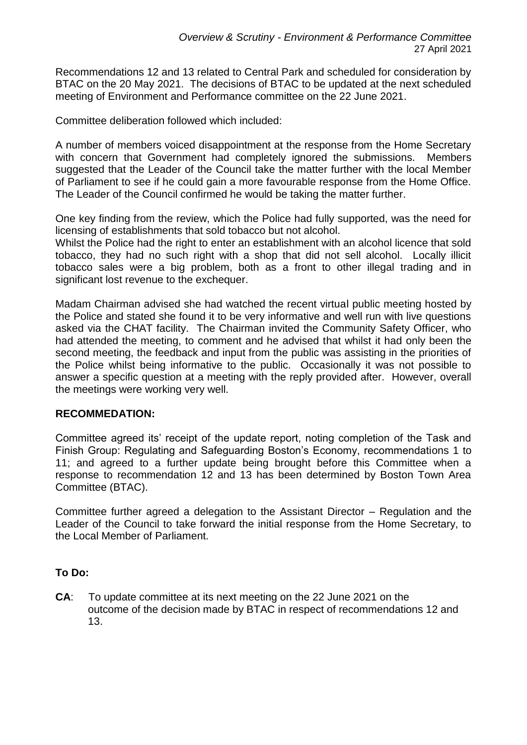Recommendations 12 and 13 related to Central Park and scheduled for consideration by BTAC on the 20 May 2021. The decisions of BTAC to be updated at the next scheduled meeting of Environment and Performance committee on the 22 June 2021.

Committee deliberation followed which included:

A number of members voiced disappointment at the response from the Home Secretary with concern that Government had completely ignored the submissions. Members suggested that the Leader of the Council take the matter further with the local Member of Parliament to see if he could gain a more favourable response from the Home Office. The Leader of the Council confirmed he would be taking the matter further.

One key finding from the review, which the Police had fully supported, was the need for licensing of establishments that sold tobacco but not alcohol.

Whilst the Police had the right to enter an establishment with an alcohol licence that sold tobacco, they had no such right with a shop that did not sell alcohol. Locally illicit tobacco sales were a big problem, both as a front to other illegal trading and in significant lost revenue to the exchequer.

Madam Chairman advised she had watched the recent virtual public meeting hosted by the Police and stated she found it to be very informative and well run with live questions asked via the CHAT facility. The Chairman invited the Community Safety Officer, who had attended the meeting, to comment and he advised that whilst it had only been the second meeting, the feedback and input from the public was assisting in the priorities of the Police whilst being informative to the public. Occasionally it was not possible to answer a specific question at a meeting with the reply provided after. However, overall the meetings were working very well.

### **RECOMMEDATION:**

Committee agreed its' receipt of the update report, noting completion of the Task and Finish Group: Regulating and Safeguarding Boston's Economy, recommendations 1 to 11; and agreed to a further update being brought before this Committee when a response to recommendation 12 and 13 has been determined by Boston Town Area Committee (BTAC).

Committee further agreed a delegation to the Assistant Director – Regulation and the Leader of the Council to take forward the initial response from the Home Secretary, to the Local Member of Parliament.

# **To Do:**

**CA**: To update committee at its next meeting on the 22 June 2021 on the outcome of the decision made by BTAC in respect of recommendations 12 and 13.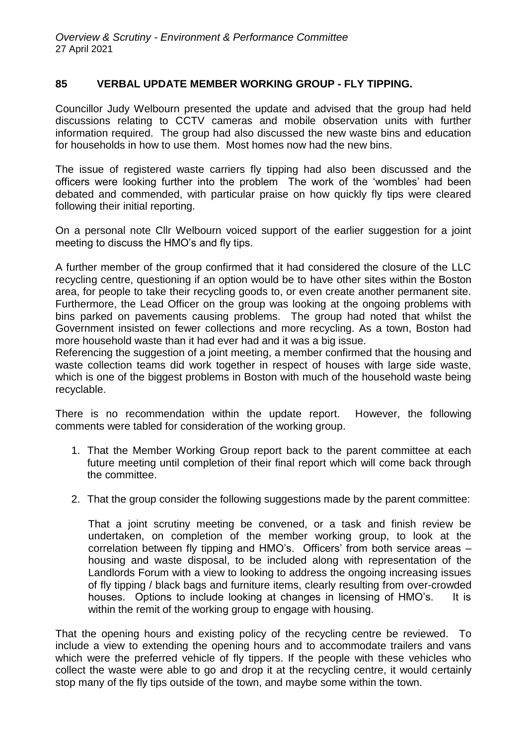### **85 VERBAL UPDATE MEMBER WORKING GROUP - FLY TIPPING.**

Councillor Judy Welbourn presented the update and advised that the group had held discussions relating to CCTV cameras and mobile observation units with further information required. The group had also discussed the new waste bins and education for households in how to use them. Most homes now had the new bins.

The issue of registered waste carriers fly tipping had also been discussed and the officers were looking further into the problem The work of the 'wombles' had been debated and commended, with particular praise on how quickly fly tips were cleared following their initial reporting.

On a personal note Cllr Welbourn voiced support of the earlier suggestion for a joint meeting to discuss the HMO's and fly tips.

A further member of the group confirmed that it had considered the closure of the LLC recycling centre, questioning if an option would be to have other sites within the Boston area, for people to take their recycling goods to, or even create another permanent site. Furthermore, the Lead Officer on the group was looking at the ongoing problems with bins parked on pavements causing problems. The group had noted that whilst the Government insisted on fewer collections and more recycling. As a town, Boston had more household waste than it had ever had and it was a big issue.

Referencing the suggestion of a joint meeting, a member confirmed that the housing and waste collection teams did work together in respect of houses with large side waste, which is one of the biggest problems in Boston with much of the household waste being recyclable.

There is no recommendation within the update report. However, the following comments were tabled for consideration of the working group.

- 1. That the Member Working Group report back to the parent committee at each future meeting until completion of their final report which will come back through the committee.
- 2. That the group consider the following suggestions made by the parent committee:

That a joint scrutiny meeting be convened, or a task and finish review be undertaken, on completion of the member working group, to look at the correlation between fly tipping and HMO's. Officers' from both service areas – housing and waste disposal, to be included along with representation of the Landlords Forum with a view to looking to address the ongoing increasing issues of fly tipping / black bags and furniture items, clearly resulting from over-crowded houses. Options to include looking at changes in licensing of HMO's. It is within the remit of the working group to engage with housing.

That the opening hours and existing policy of the recycling centre be reviewed. To include a view to extending the opening hours and to accommodate trailers and vans which were the preferred vehicle of fly tippers. If the people with these vehicles who collect the waste were able to go and drop it at the recycling centre, it would certainly stop many of the fly tips outside of the town, and maybe some within the town.